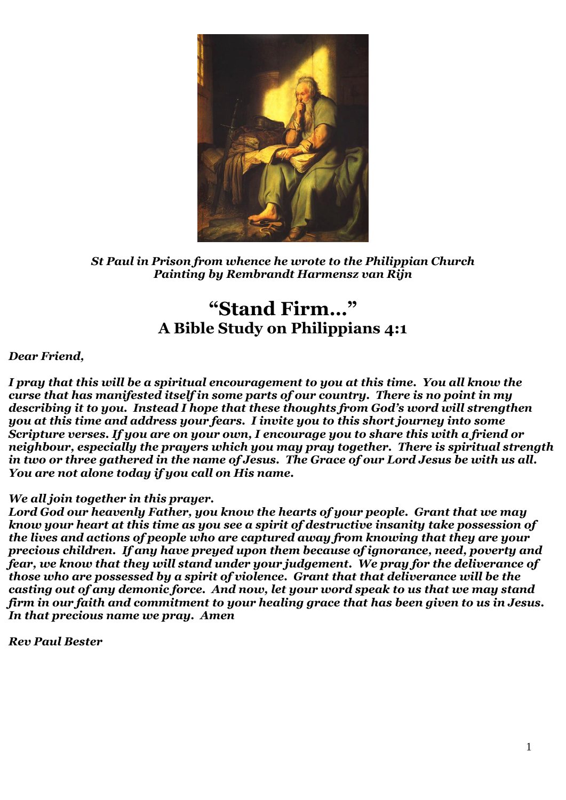

*St Paul in Prison from whence he wrote to the Philippian Church Painting by Rembrandt Harmensz van Rijn*

# **"Stand Firm…" A Bible Study on Philippians 4:1**

### *Dear Friend,*

*I pray that this will be a spiritual encouragement to you at this time. You all know the curse that has manifested itself in some parts of our country. There is no point in my describing it to you. Instead I hope that these thoughts from God's word will strengthen you at this time and address your fears. I invite you to this short journey into some Scripture verses. If you are on your own, I encourage you to share this with a friend or neighbour, especially the prayers which you may pray together. There is spiritual strength in two or three gathered in the name of Jesus. The Grace of our Lord Jesus be with us all. You are not alone today if you call on His name.* 

#### *We all join together in this prayer.*

*Lord God our heavenly Father, you know the hearts of your people. Grant that we may know your heart at this time as you see a spirit of destructive insanity take possession of the lives and actions of people who are captured away from knowing that they are your precious children. If any have preyed upon them because of ignorance, need, poverty and fear, we know that they will stand under your judgement. We pray for the deliverance of those who are possessed by a spirit of violence. Grant that that deliverance will be the casting out of any demonic force. And now, let your word speak to us that we may stand firm in our faith and commitment to your healing grace that has been given to us in Jesus. In that precious name we pray. Amen*

*Rev Paul Bester*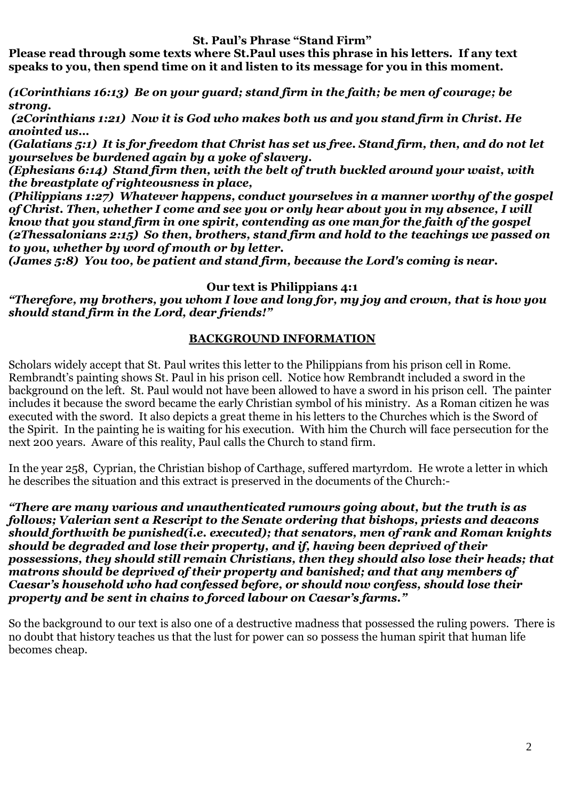**St. Paul's Phrase "Stand Firm"**

**Please read through some texts where St.Paul uses this phrase in his letters. If any text speaks to you, then spend time on it and listen to its message for you in this moment.**

*(1Corinthians 16:13) Be on your guard; stand firm in the faith; be men of courage; be strong.*

*(2Corinthians 1:21) Now it is God who makes both us and you stand firm in Christ. He anointed us…*

*(Galatians 5:1) It is for freedom that Christ has set us free. Stand firm, then, and do not let yourselves be burdened again by a yoke of slavery.*

*(Ephesians 6:14) Stand firm then, with the belt of truth buckled around your waist, with the breastplate of righteousness in place,*

*(Philippians 1:27) Whatever happens, conduct yourselves in a manner worthy of the gospel of Christ. Then, whether I come and see you or only hear about you in my absence, I will know that you stand firm in one spirit, contending as one man for the faith of the gospel (2Thessalonians 2:15) So then, brothers, stand firm and hold to the teachings we passed on to you, whether by word of mouth or by letter.*

*(James 5:8) You too, be patient and stand firm, because the Lord's coming is near.*

### **Our text is Philippians 4:1**

*"Therefore, my brothers, you whom I love and long for, my joy and crown, that is how you should stand firm in the Lord, dear friends!"*

## **BACKGROUND INFORMATION**

Scholars widely accept that St. Paul writes this letter to the Philippians from his prison cell in Rome. Rembrandt's painting shows St. Paul in his prison cell. Notice how Rembrandt included a sword in the background on the left. St. Paul would not have been allowed to have a sword in his prison cell. The painter includes it because the sword became the early Christian symbol of his ministry. As a Roman citizen he was executed with the sword. It also depicts a great theme in his letters to the Churches which is the Sword of the Spirit. In the painting he is waiting for his execution. With him the Church will face persecution for the next 200 years. Aware of this reality, Paul calls the Church to stand firm.

In the year 258, Cyprian, the Christian bishop of Carthage, suffered martyrdom. He wrote a letter in which he describes the situation and this extract is preserved in the documents of the Church:-

*"There are many various and unauthenticated rumours going about, but the truth is as follows; Valerian sent a Rescript to the Senate ordering that bishops, priests and deacons should forthwith be punished(i.e. executed); that senators, men of rank and Roman knights should be degraded and lose their property, and if, having been deprived of their possessions, they should still remain Christians, then they should also lose their heads; that matrons should be deprived of their property and banished; and that any members of Caesar's household who had confessed before, or should now confess, should lose their property and be sent in chains to forced labour on Caesar's farms."*

So the background to our text is also one of a destructive madness that possessed the ruling powers. There is no doubt that history teaches us that the lust for power can so possess the human spirit that human life becomes cheap.